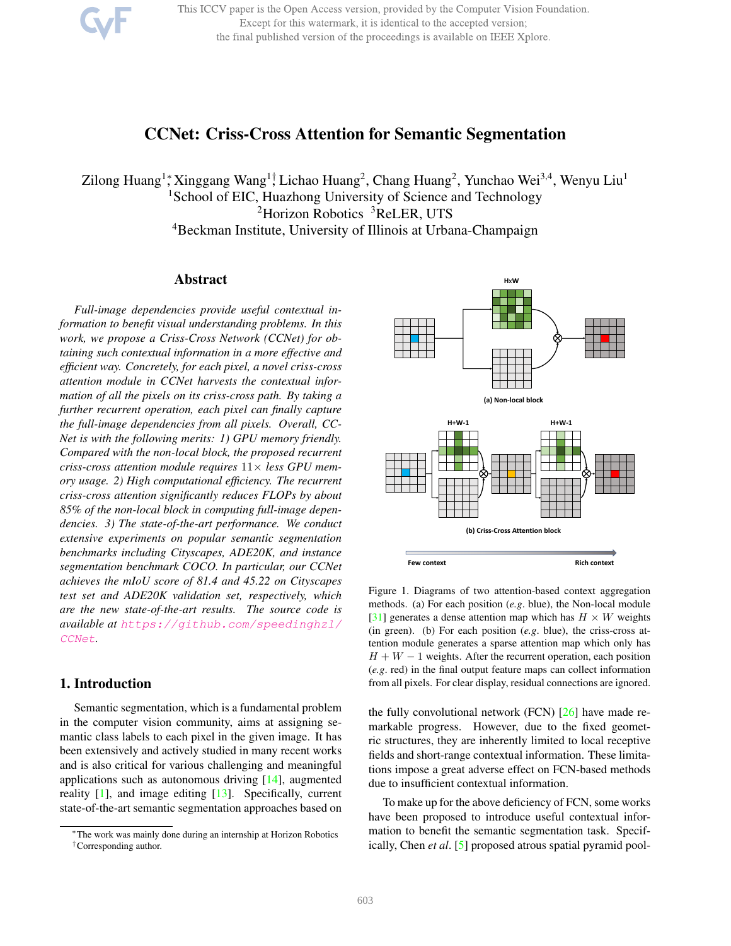This ICCV paper is the Open Access version, provided by the Computer Vision Foundation. Except for this watermark, it is identical to the accepted version; the final published version of the proceedings is available on IEEE Xplore.

# CCNet: Criss-Cross Attention for Semantic Segmentation

Zilong Huang<sup>1</sup>; Xinggang Wang<sup>1†</sup>, Lichao Huang<sup>2</sup>, Chang Huang<sup>2</sup>, Yunchao Wei<sup>3,4</sup>, Wenyu Liu<sup>1</sup> <sup>1</sup>School of EIC, Huazhong University of Science and Technology <sup>2</sup>Horizon Robotics <sup>3</sup>ReLER, UTS <sup>4</sup>Beckman Institute, University of Illinois at Urbana-Champaign

### Abstract

*Full-image dependencies provide useful contextual information to benefit visual understanding problems. In this work, we propose a Criss-Cross Network (CCNet) for obtaining such contextual information in a more effective and efficient way. Concretely, for each pixel, a novel criss-cross attention module in CCNet harvests the contextual information of all the pixels on its criss-cross path. By taking a further recurrent operation, each pixel can finally capture the full-image dependencies from all pixels. Overall, CC-Net is with the following merits: 1) GPU memory friendly. Compared with the non-local block, the proposed recurrent criss-cross attention module requires* 11× *less GPU memory usage. 2) High computational efficiency. The recurrent criss-cross attention significantly reduces FLOPs by about 85% of the non-local block in computing full-image dependencies. 3) The state-of-the-art performance. We conduct extensive experiments on popular semantic segmentation benchmarks including Cityscapes, ADE20K, and instance segmentation benchmark COCO. In particular, our CCNet achieves the mIoU score of 81.4 and 45.22 on Cityscapes test set and ADE20K validation set, respectively, which are the new state-of-the-art results. The source code is available at https://github.com/speedinghzl/ CCNet.*

## 1. Introduction

Semantic segmentation, which is a fundamental problem in the computer vision community, aims at assigning semantic class labels to each pixel in the given image. It has been extensively and actively studied in many recent works and is also critical for various challenging and meaningful applications such as autonomous driving [14], augmented reality [1], and image editing [13]. Specifically, current state-of-the-art semantic segmentation approaches based on



Figure 1. Diagrams of two attention-based context aggregation methods. (a) For each position (*e.g*. blue), the Non-local module [31] generates a dense attention map which has  $H \times W$  weights (in green). (b) For each position (*e.g*. blue), the criss-cross attention module generates a sparse attention map which only has  $H + W - 1$  weights. After the recurrent operation, each position (*e.g*. red) in the final output feature maps can collect information from all pixels. For clear display, residual connections are ignored.

the fully convolutional network (FCN)  $[26]$  have made remarkable progress. However, due to the fixed geometric structures, they are inherently limited to local receptive fields and short-range contextual information. These limitations impose a great adverse effect on FCN-based methods due to insufficient contextual information.

To make up for the above deficiency of FCN, some works have been proposed to introduce useful contextual information to benefit the semantic segmentation task. Specifically, Chen *et al*. [5] proposed atrous spatial pyramid pool-

<sup>∗</sup>The work was mainly done during an internship at Horizon Robotics †Corresponding author.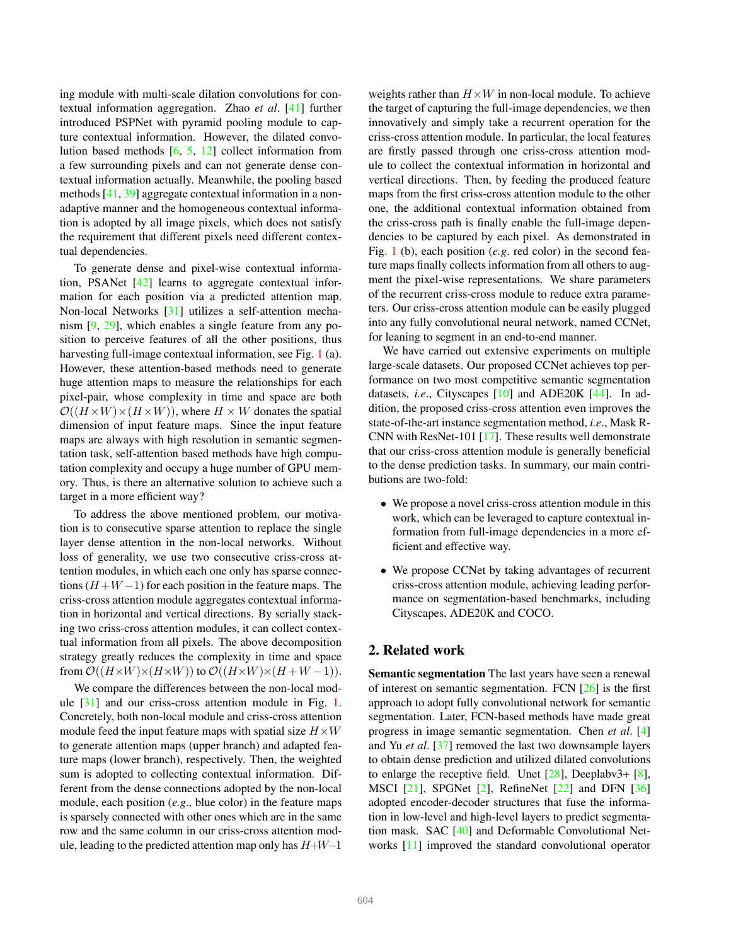ing module with multi-scale dilation convolutions for contextual information aggregation. Zhao *et al*. [41] further introduced PSPNet with pyramid pooling module to capture contextual information. However, the dilated convolution based methods [6, 5, 12] collect information from a few surrounding pixels and can not generate dense contextual information actually. Meanwhile, the pooling based methods [41, 39] aggregate contextual information in a nonadaptive manner and the homogeneous contextual information is adopted by all image pixels, which does not satisfy the requirement that different pixels need different contextual dependencies.

To generate dense and pixel-wise contextual information, PSANet [42] learns to aggregate contextual information for each position via a predicted attention map. Non-local Networks [31] utilizes a self-attention mechanism [9, 29], which enables a single feature from any position to perceive features of all the other positions, thus harvesting full-image contextual information, see Fig. 1 (a). However, these attention-based methods need to generate huge attention maps to measure the relationships for each pixel-pair, whose complexity in time and space are both  $\mathcal{O}((H\times W)\times (H\times W))$ , where  $H\times W$  donates the spatial dimension of input feature maps. Since the input feature maps are always with high resolution in semantic segmentation task, self-attention based methods have high computation complexity and occupy a huge number of GPU memory. Thus, is there an alternative solution to achieve such a target in a more efficient way?

To address the above mentioned problem, our motivation is to consecutive sparse attention to replace the single layer dense attention in the non-local networks. Without loss of generality, we use two consecutive criss-cross attention modules, in which each one only has sparse connections  $(H+W-1)$  for each position in the feature maps. The criss-cross attention module aggregates contextual information in horizontal and vertical directions. By serially stacking two criss-cross attention modules, it can collect contextual information from all pixels. The above decomposition strategy greatly reduces the complexity in time and space from  $\mathcal{O}((H\times W)\times (H\times W))$  to  $\mathcal{O}((H\times W)\times (H+W-1)).$ 

We compare the differences between the non-local module [31] and our criss-cross attention module in Fig. 1. Concretely, both non-local module and criss-cross attention module feed the input feature maps with spatial size  $H \times W$ to generate attention maps (upper branch) and adapted feature maps (lower branch), respectively. Then, the weighted sum is adopted to collecting contextual information. Different from the dense connections adopted by the non-local module, each position (*e.g*., blue color) in the feature maps is sparsely connected with other ones which are in the same row and the same column in our criss-cross attention module, leading to the predicted attention map only has  $H+W-1$ 

weights rather than  $H \times W$  in non-local module. To achieve the target of capturing the full-image dependencies, we then innovatively and simply take a recurrent operation for the criss-cross attention module. In particular, the local features are firstly passed through one criss-cross attention module to collect the contextual information in horizontal and vertical directions. Then, by feeding the produced feature maps from the first criss-cross attention module to the other one, the additional contextual information obtained from the criss-cross path is finally enable the full-image dependencies to be captured by each pixel. As demonstrated in Fig. 1 (b), each position (*e.g*. red color) in the second feature maps finally collects information from all others to augment the pixel-wise representations. We share parameters of the recurrent criss-cross module to reduce extra parameters. Our criss-cross attention module can be easily plugged into any fully convolutional neural network, named CCNet, for leaning to segment in an end-to-end manner.

We have carried out extensive experiments on multiple large-scale datasets. Our proposed CCNet achieves top performance on two most competitive semantic segmentation datasets, *i.e*., Cityscapes [10] and ADE20K [44]. In addition, the proposed criss-cross attention even improves the state-of-the-art instance segmentation method, *i.e*., Mask R-CNN with ResNet-101 [17]. These results well demonstrate that our criss-cross attention module is generally beneficial to the dense prediction tasks. In summary, our main contributions are two-fold:

- We propose a novel criss-cross attention module in this work, which can be leveraged to capture contextual information from full-image dependencies in a more efficient and effective way.
- We propose CCNet by taking advantages of recurrent criss-cross attention module, achieving leading performance on segmentation-based benchmarks, including Cityscapes, ADE20K and COCO.

## 2. Related work

Semantic segmentation The last years have seen a renewal of interest on semantic segmentation. FCN [26] is the first approach to adopt fully convolutional network for semantic segmentation. Later, FCN-based methods have made great progress in image semantic segmentation. Chen *et al*. [4] and Yu *et al*. [37] removed the last two downsample layers to obtain dense prediction and utilized dilated convolutions to enlarge the receptive field. Unet  $[28]$ , Deeplabv3+  $[8]$ , MSCI [21], SPGNet [2], RefineNet [22] and DFN [36] adopted encoder-decoder structures that fuse the information in low-level and high-level layers to predict segmentation mask. SAC [40] and Deformable Convolutional Networks [11] improved the standard convolutional operator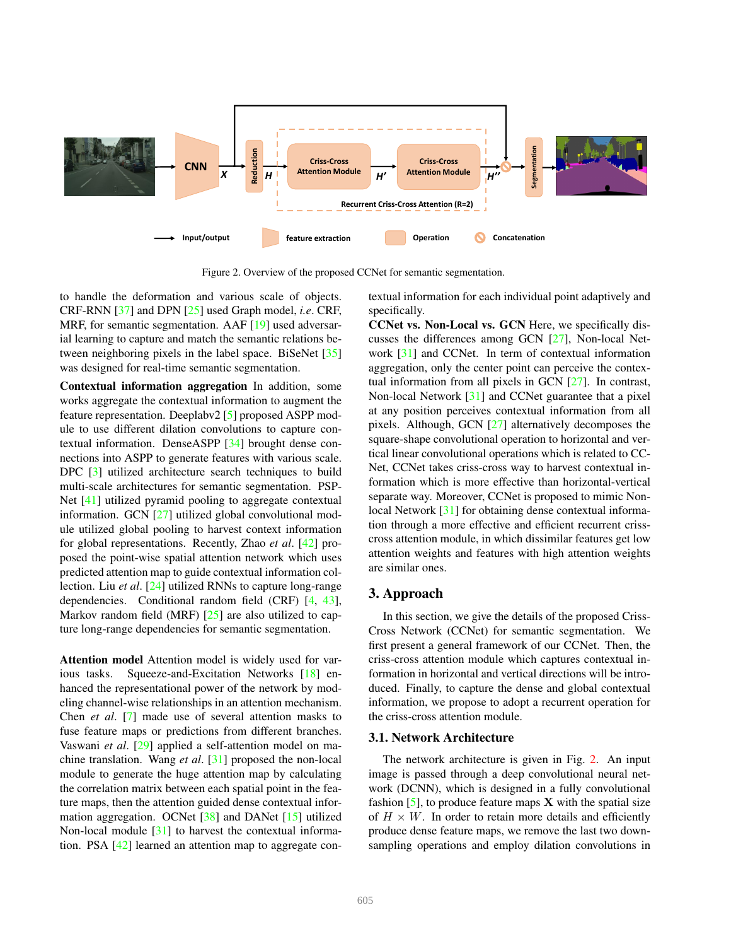

Figure 2. Overview of the proposed CCNet for semantic segmentation.

to handle the deformation and various scale of objects. CRF-RNN [37] and DPN [25] used Graph model, *i.e*. CRF, MRF, for semantic segmentation. AAF [19] used adversarial learning to capture and match the semantic relations between neighboring pixels in the label space. BiSeNet [35] was designed for real-time semantic segmentation.

Contextual information aggregation In addition, some works aggregate the contextual information to augment the feature representation. Deeplabv2 [5] proposed ASPP module to use different dilation convolutions to capture contextual information. DenseASPP [34] brought dense connections into ASPP to generate features with various scale. DPC [3] utilized architecture search techniques to build multi-scale architectures for semantic segmentation. PSP-Net [41] utilized pyramid pooling to aggregate contextual information. GCN [27] utilized global convolutional module utilized global pooling to harvest context information for global representations. Recently, Zhao *et al*. [42] proposed the point-wise spatial attention network which uses predicted attention map to guide contextual information collection. Liu *et al*. [24] utilized RNNs to capture long-range dependencies. Conditional random field (CRF) [4, 43], Markov random field (MRF) [25] are also utilized to capture long-range dependencies for semantic segmentation.

Attention model Attention model is widely used for various tasks. Squeeze-and-Excitation Networks [18] enhanced the representational power of the network by modeling channel-wise relationships in an attention mechanism. Chen *et al*. [7] made use of several attention masks to fuse feature maps or predictions from different branches. Vaswani *et al*. [29] applied a self-attention model on machine translation. Wang *et al*. [31] proposed the non-local module to generate the huge attention map by calculating the correlation matrix between each spatial point in the feature maps, then the attention guided dense contextual information aggregation. OCNet [38] and DANet [15] utilized Non-local module [31] to harvest the contextual information. PSA [42] learned an attention map to aggregate contextual information for each individual point adaptively and specifically.

CCNet vs. Non-Local vs. GCN Here, we specifically discusses the differences among GCN [27], Non-local Network [31] and CCNet. In term of contextual information aggregation, only the center point can perceive the contextual information from all pixels in GCN [27]. In contrast, Non-local Network [31] and CCNet guarantee that a pixel at any position perceives contextual information from all pixels. Although, GCN [27] alternatively decomposes the square-shape convolutional operation to horizontal and vertical linear convolutional operations which is related to CC-Net, CCNet takes criss-cross way to harvest contextual information which is more effective than horizontal-vertical separate way. Moreover, CCNet is proposed to mimic Nonlocal Network [31] for obtaining dense contextual information through a more effective and efficient recurrent crisscross attention module, in which dissimilar features get low attention weights and features with high attention weights are similar ones.

### 3. Approach

In this section, we give the details of the proposed Criss-Cross Network (CCNet) for semantic segmentation. We first present a general framework of our CCNet. Then, the criss-cross attention module which captures contextual information in horizontal and vertical directions will be introduced. Finally, to capture the dense and global contextual information, we propose to adopt a recurrent operation for the criss-cross attention module.

#### 3.1. Network Architecture

The network architecture is given in Fig. 2. An input image is passed through a deep convolutional neural network (DCNN), which is designed in a fully convolutional fashion  $[5]$ , to produce feature maps  $X$  with the spatial size of  $H \times W$ . In order to retain more details and efficiently produce dense feature maps, we remove the last two downsampling operations and employ dilation convolutions in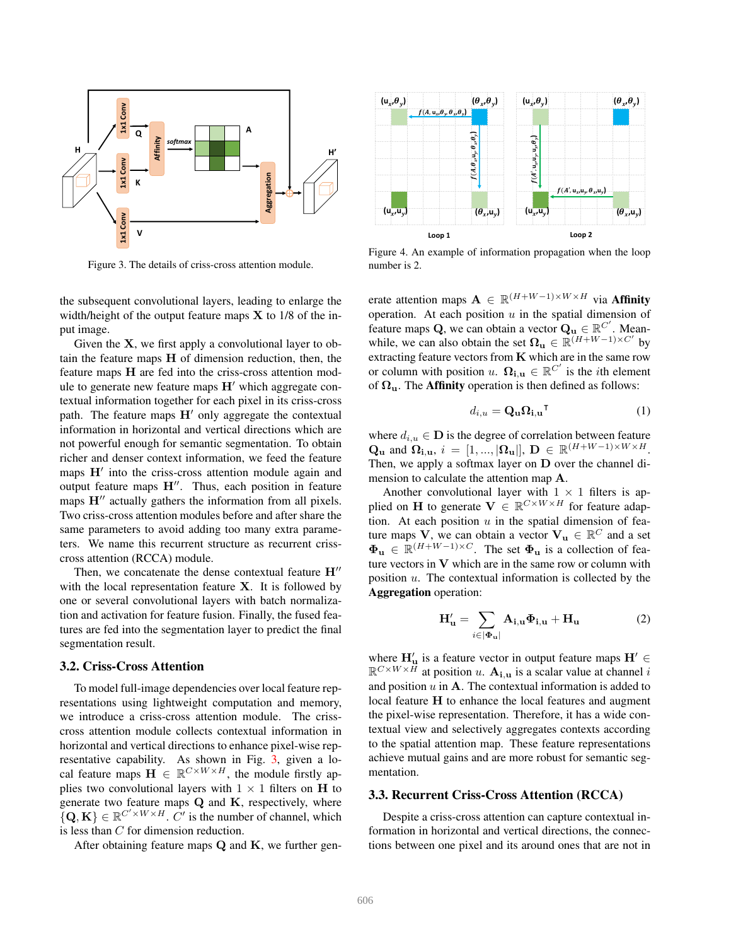

Figure 3. The details of criss-cross attention module.

the subsequent convolutional layers, leading to enlarge the width/height of the output feature maps  $X$  to 1/8 of the input image.

Given the X, we first apply a convolutional layer to obtain the feature maps H of dimension reduction, then, the feature maps H are fed into the criss-cross attention module to generate new feature maps  $H'$  which aggregate contextual information together for each pixel in its criss-cross path. The feature maps  $H'$  only aggregate the contextual information in horizontal and vertical directions which are not powerful enough for semantic segmentation. To obtain richer and denser context information, we feed the feature maps H' into the criss-cross attention module again and output feature maps H′′. Thus, each position in feature maps  $H''$  actually gathers the information from all pixels. Two criss-cross attention modules before and after share the same parameters to avoid adding too many extra parameters. We name this recurrent structure as recurrent crisscross attention (RCCA) module.

Then, we concatenate the dense contextual feature  $H''$ with the local representation feature X. It is followed by one or several convolutional layers with batch normalization and activation for feature fusion. Finally, the fused features are fed into the segmentation layer to predict the final segmentation result.

#### 3.2. Criss-Cross Attention

To model full-image dependencies over local feature representations using lightweight computation and memory, we introduce a criss-cross attention module. The crisscross attention module collects contextual information in horizontal and vertical directions to enhance pixel-wise representative capability. As shown in Fig. 3, given a local feature maps  $\mathbf{H} \in \mathbb{R}^{C \times W \times H}$ , the module firstly applies two convolutional layers with  $1 \times 1$  filters on H to generate two feature maps Q and K, respectively, where  ${Q, \mathbf{K}} \in \mathbb{R}^{C' \times W \times H}$ . C' is the number of channel, which is less than C for dimension reduction.

After obtaining feature maps  $Q$  and  $K$ , we further gen-



Figure 4. An example of information propagation when the loop number is 2.

erate attention maps  $\mathbf{A} \in \mathbb{R}^{(H+W-1)\times W\times H}$  via **Affinity** operation. At each position  $u$  in the spatial dimension of feature maps Q, we can obtain a vector  $\mathbf{Q}_{\mathbf{u}} \in \mathbb{R}^{C'}$ . Meanwhile, we can also obtain the set  $\Omega_{\mathbf{u}} \in \mathbb{R}^{(H+W-1)\times C'}$  by extracting feature vectors from  $K$  which are in the same row or column with position u.  $\Omega_{i,u} \in \mathbb{R}^{C'}$  is the *i*th element of  $\Omega_{\mathbf{u}}$ . The **Affinity** operation is then defined as follows:

$$
d_{i,u} = \mathbf{Q}_{\mathbf{u}} \mathbf{\Omega}_{\mathbf{i},\mathbf{u}}^{\mathsf{T}}
$$
 (1)

where  $d_{i,u} \in \mathbf{D}$  is the degree of correlation between feature  $\mathbf{Q}_{\mathbf{u}}$  and  $\mathbf{\Omega}_{\mathbf{i},\mathbf{u}}, i = [1, ..., |\mathbf{\Omega}_{\mathbf{u}}|], \mathbf{D} \in \mathbb{R}^{(H+W-1)\times W\times H}.$ Then, we apply a softmax layer on D over the channel dimension to calculate the attention map A.

Another convolutional layer with  $1 \times 1$  filters is applied on H to generate  $V \in \mathbb{R}^{C \times W \times H}$  for feature adaption. At each position  $u$  in the spatial dimension of feature maps V, we can obtain a vector  $V_u \in \mathbb{R}^C$  and a set  $\mathbf{\Phi}_{\mathbf{u}} \in \mathbb{R}^{(H+W-1)\times C}$ . The set  $\mathbf{\Phi}_{\mathbf{u}}$  is a collection of feature vectors in  $V$  which are in the same row or column with position  $u$ . The contextual information is collected by the Aggregation operation:

$$
\mathbf{H}_{\mathbf{u}}' = \sum_{i \in [\Phi_{\mathbf{u}}]} \mathbf{A}_{\mathbf{i}, \mathbf{u}} \Phi_{\mathbf{i}, \mathbf{u}} + \mathbf{H}_{\mathbf{u}} \tag{2}
$$

where  $H'_{\mathbf{u}}$  is a feature vector in output feature maps  $\mathbf{H}' \in$  $\mathbb{R}^{C\times W\times \vec{H}}$  at position u.  $\mathbf{A_{i,u}}$  is a scalar value at channel i and position  $u$  in  $A$ . The contextual information is added to local feature H to enhance the local features and augment the pixel-wise representation. Therefore, it has a wide contextual view and selectively aggregates contexts according to the spatial attention map. These feature representations achieve mutual gains and are more robust for semantic segmentation.

### 3.3. Recurrent Criss-Cross Attention (RCCA)

Despite a criss-cross attention can capture contextual information in horizontal and vertical directions, the connections between one pixel and its around ones that are not in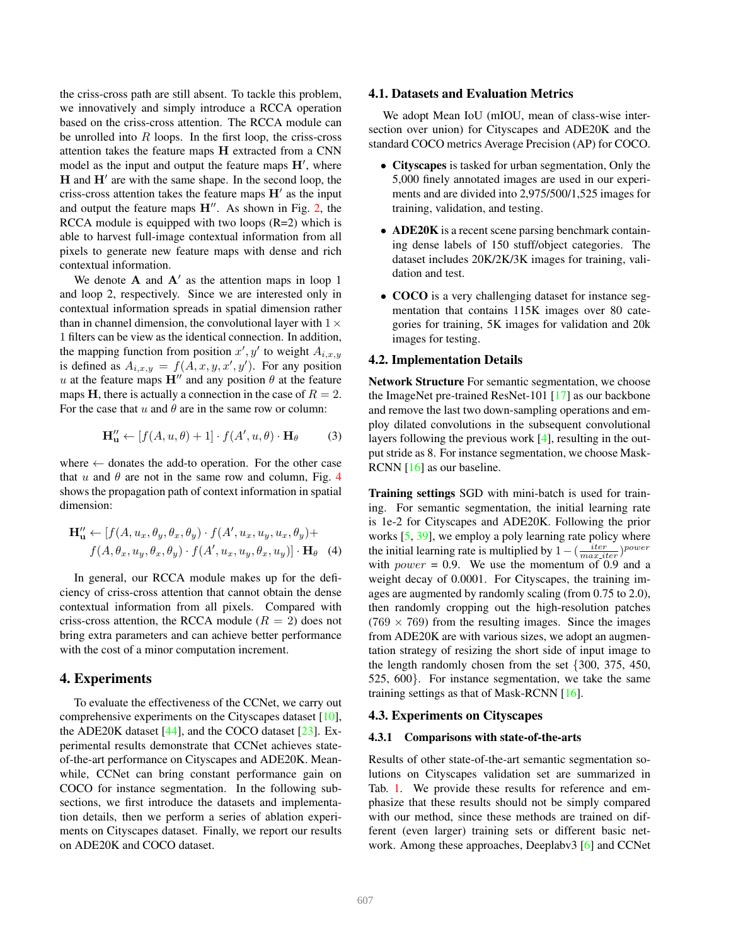the criss-cross path are still absent. To tackle this problem, we innovatively and simply introduce a RCCA operation based on the criss-cross attention. The RCCA module can be unrolled into  $R$  loops. In the first loop, the criss-cross attention takes the feature maps H extracted from a CNN model as the input and output the feature maps  $H'$ , where H and H' are with the same shape. In the second loop, the criss-cross attention takes the feature maps  $H'$  as the input and output the feature maps  $H''$ . As shown in Fig. 2, the RCCA module is equipped with two loops (R=2) which is able to harvest full-image contextual information from all pixels to generate new feature maps with dense and rich contextual information.

We denote  $A$  and  $A'$  as the attention maps in loop 1 and loop 2, respectively. Since we are interested only in contextual information spreads in spatial dimension rather than in channel dimension, the convolutional layer with  $1 \times$ 1 filters can be view as the identical connection. In addition, the mapping function from position  $x', y'$  to weight  $A_{i,x,y}$ is defined as  $A_{i,x,y} = f(A, x, y, x', y')$ . For any position u at the feature maps  $H''$  and any position  $\theta$  at the feature maps H, there is actually a connection in the case of  $R = 2$ . For the case that  $u$  and  $\theta$  are in the same row or column:

$$
\mathbf{H''_{u}} \leftarrow [f(A, u, \theta) + 1] \cdot f(A', u, \theta) \cdot \mathbf{H}_{\theta} \tag{3}
$$

where  $\leftarrow$  donates the add-to operation. For the other case that u and  $\theta$  are not in the same row and column, Fig. 4 shows the propagation path of context information in spatial dimension:

$$
\mathbf{H}''_{\mathbf{u}} \leftarrow [f(A, u_x, \theta_y, \theta_x, \theta_y) \cdot f(A', u_x, u_y, u_x, \theta_y) + f(A, \theta_x, u_y, \theta_x, \theta_y) \cdot f(A', u_x, u_y, \theta_x, u_y)] \cdot \mathbf{H}_{\theta}
$$
 (4)

In general, our RCCA module makes up for the deficiency of criss-cross attention that cannot obtain the dense contextual information from all pixels. Compared with criss-cross attention, the RCCA module ( $R = 2$ ) does not bring extra parameters and can achieve better performance with the cost of a minor computation increment.

## 4. Experiments

To evaluate the effectiveness of the CCNet, we carry out comprehensive experiments on the Cityscapes dataset [10], the ADE20K dataset  $[44]$ , and the COCO dataset  $[23]$ . Experimental results demonstrate that CCNet achieves stateof-the-art performance on Cityscapes and ADE20K. Meanwhile, CCNet can bring constant performance gain on COCO for instance segmentation. In the following subsections, we first introduce the datasets and implementation details, then we perform a series of ablation experiments on Cityscapes dataset. Finally, we report our results on ADE20K and COCO dataset.

#### 4.1. Datasets and Evaluation Metrics

We adopt Mean IoU (mIOU, mean of class-wise intersection over union) for Cityscapes and ADE20K and the standard COCO metrics Average Precision (AP) for COCO.

- Cityscapes is tasked for urban segmentation, Only the 5,000 finely annotated images are used in our experiments and are divided into 2,975/500/1,525 images for training, validation, and testing.
- ADE20K is a recent scene parsing benchmark containing dense labels of 150 stuff/object categories. The dataset includes 20K/2K/3K images for training, validation and test.
- COCO is a very challenging dataset for instance segmentation that contains 115K images over 80 categories for training, 5K images for validation and 20k images for testing.

#### 4.2. Implementation Details

Network Structure For semantic segmentation, we choose the ImageNet pre-trained ResNet-101 [17] as our backbone and remove the last two down-sampling operations and employ dilated convolutions in the subsequent convolutional layers following the previous work [4], resulting in the output stride as 8. For instance segmentation, we choose Mask-RCNN  $[16]$  as our baseline.

Training settings SGD with mini-batch is used for training. For semantic segmentation, the initial learning rate is 1e-2 for Cityscapes and ADE20K. Following the prior works [5, 39], we employ a poly learning rate policy where the initial learning rate is multiplied by  $1 - (\frac{iter}{max\_iter})^{power}$ with  $power = 0.9$ . We use the momentum of 0.9 and a weight decay of 0.0001. For Cityscapes, the training images are augmented by randomly scaling (from 0.75 to 2.0), then randomly cropping out the high-resolution patches  $(769 \times 769)$  from the resulting images. Since the images from ADE20K are with various sizes, we adopt an augmentation strategy of resizing the short side of input image to the length randomly chosen from the set {300, 375, 450, 525, 600}. For instance segmentation, we take the same training settings as that of Mask-RCNN [16].

### 4.3. Experiments on Cityscapes

#### 4.3.1 Comparisons with state-of-the-arts

Results of other state-of-the-art semantic segmentation solutions on Cityscapes validation set are summarized in Tab. 1. We provide these results for reference and emphasize that these results should not be simply compared with our method, since these methods are trained on different (even larger) training sets or different basic network. Among these approaches, Deeplabv3 [6] and CCNet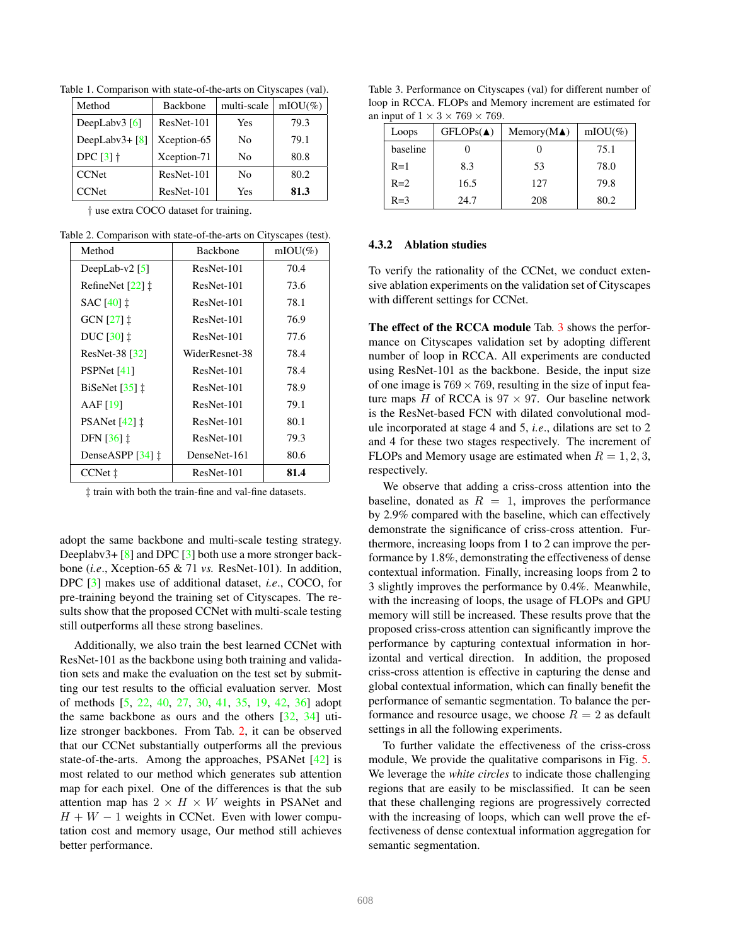| Method                         | <b>Backbone</b> | multi-scale | $mIOU(\%)$ |
|--------------------------------|-----------------|-------------|------------|
| DeepLaby $3$ [6]               | ResNet-101      | Yes         | 79.3       |
| DeepLabv $3 + \lceil 8 \rceil$ | Xception-65     | No          | 79.1       |
| DPC $[3]$ $\dagger$            | Xception-71     | No          | 80.8       |
| <b>CCNet</b>                   | ResNet-101      | No          | 80.2       |
| <b>CCNet</b>                   | ResNet-101      | Yes         | 81.3       |

Table 1. Comparison with state-of-the-arts on Cityscapes (val).

† use extra COCO dataset for training.

Table 2. Comparison with state-of-the-arts on Cityscapes (test).

| Method                               | <b>Backbone</b> | $mIOU(\%)$ |
|--------------------------------------|-----------------|------------|
| DeepLab-v2 $[5]$                     | ResNet-101      | 70.4       |
| RefineNet $[22]$ $\ddagger$          | ResNet-101      | 73.6       |
| SAC $[40]$ $\ddagger$                | ResNet-101      | 78.1       |
| GCN [27] ‡                           | ResNet-101      | 76.9       |
| DUC $[30]$ $\ddagger$                | ResNet-101      | 77.6       |
| ResNet-38 [32]                       | WiderResnet-38  | 78.4       |
| PSPNet [41]                          | ResNet-101      | 78.4       |
| BiSeNet $\left[35\right]$ $\ddagger$ | ResNet-101      | 78.9       |
| AAF $[19]$                           | ResNet-101      | 79.1       |
| PSANet $[42]$ $\ddagger$             | ResNet-101      | 80.1       |
| DFN $\left[36\right]\ddagger$        | ResNet-101      | 79.3       |
| DenseASPP $[34]$ $\ddagger$          | DenseNet-161    | 80.6       |
| CCNet $\ddagger$                     | ResNet-101      | 81.4       |

‡ train with both the train-fine and val-fine datasets.

adopt the same backbone and multi-scale testing strategy. Deeplabv3+ [8] and DPC [3] both use a more stronger backbone (*i.e*., Xception-65 & 71 *vs.* ResNet-101). In addition, DPC [3] makes use of additional dataset, *i.e*., COCO, for pre-training beyond the training set of Cityscapes. The results show that the proposed CCNet with multi-scale testing still outperforms all these strong baselines.

Additionally, we also train the best learned CCNet with ResNet-101 as the backbone using both training and validation sets and make the evaluation on the test set by submitting our test results to the official evaluation server. Most of methods [5, 22, 40, 27, 30, 41, 35, 19, 42, 36] adopt the same backbone as ours and the others [32, 34] utilize stronger backbones. From Tab. 2, it can be observed that our CCNet substantially outperforms all the previous state-of-the-arts. Among the approaches, PSANet [42] is most related to our method which generates sub attention map for each pixel. One of the differences is that the sub attention map has  $2 \times H \times W$  weights in PSANet and  $H + W - 1$  weights in CCNet. Even with lower computation cost and memory usage, Our method still achieves better performance.

Table 3. Performance on Cityscapes (val) for different number of loop in RCCA. FLOPs and Memory increment are estimated for an input of  $1 \times 3 \times 769 \times 769$ .

| Loops    | $GFLOPs(\triangle)$ | $Memory(M\blacktriangle)$ | $mIOU(\%)$ |
|----------|---------------------|---------------------------|------------|
| baseline |                     |                           | 75.1       |
| $R=1$    | 8.3                 | 53                        | 78.0       |
| $R=2$    | 16.5                | 127                       | 79.8       |
| $R=3$    | 24.7                | 208                       | 80.2       |

#### 4.3.2 Ablation studies

To verify the rationality of the CCNet, we conduct extensive ablation experiments on the validation set of Cityscapes with different settings for CCNet.

The effect of the RCCA module Tab. 3 shows the performance on Cityscapes validation set by adopting different number of loop in RCCA. All experiments are conducted using ResNet-101 as the backbone. Beside, the input size of one image is  $769 \times 769$ , resulting in the size of input feature maps H of RCCA is  $97 \times 97$ . Our baseline network is the ResNet-based FCN with dilated convolutional module incorporated at stage 4 and 5, *i.e*., dilations are set to 2 and 4 for these two stages respectively. The increment of FLOPs and Memory usage are estimated when  $R = 1, 2, 3$ , respectively.

We observe that adding a criss-cross attention into the baseline, donated as  $R = 1$ , improves the performance by 2.9% compared with the baseline, which can effectively demonstrate the significance of criss-cross attention. Furthermore, increasing loops from 1 to 2 can improve the performance by 1.8%, demonstrating the effectiveness of dense contextual information. Finally, increasing loops from 2 to 3 slightly improves the performance by 0.4%. Meanwhile, with the increasing of loops, the usage of FLOPs and GPU memory will still be increased. These results prove that the proposed criss-cross attention can significantly improve the performance by capturing contextual information in horizontal and vertical direction. In addition, the proposed criss-cross attention is effective in capturing the dense and global contextual information, which can finally benefit the performance of semantic segmentation. To balance the performance and resource usage, we choose  $R = 2$  as default settings in all the following experiments.

To further validate the effectiveness of the criss-cross module, We provide the qualitative comparisons in Fig. 5. We leverage the *white circles* to indicate those challenging regions that are easily to be misclassified. It can be seen that these challenging regions are progressively corrected with the increasing of loops, which can well prove the effectiveness of dense contextual information aggregation for semantic segmentation.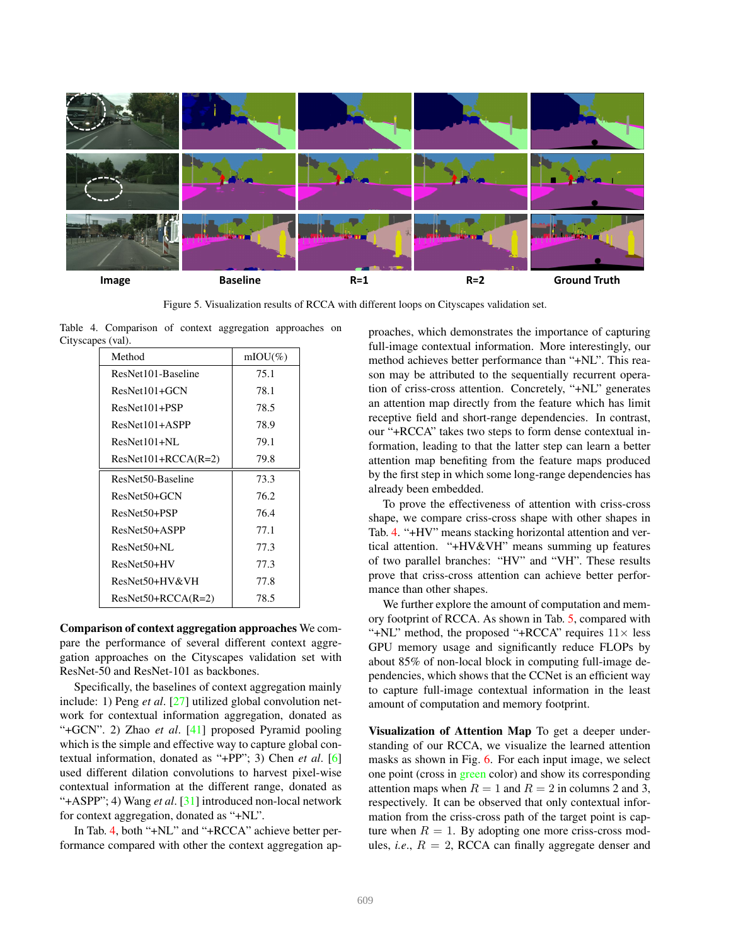

Figure 5. Visualization results of RCCA with different loops on Cityscapes validation set.

Table 4. Comparison of context aggregation approaches on Cityscapes (val).

| Method                | $mIOU(\%)$ |
|-----------------------|------------|
| ResNet101-Baseline    | 75.1       |
| $ResNet101+GCN$       | 78.1       |
| ResNet101+PSP         | 78.5       |
| $ResNet101+ASPP$      | 78.9       |
| $ResNet101+NL$        | 79.1       |
| $ResNet101+RCCA(R=2)$ | 79.8       |
| ResNet50-Baseline     | 73.3       |
| ResNet50+GCN          | 76.2       |
| ResNet50+PSP          | 76.4       |
| ResNet50+ASPP         | 77.1       |
| $ResNet50+NL$         | 77.3       |
| ResNet50+HV           | 77.3       |
| ResNet50+HV&VH        | 77.8       |
| $ResNet50+RCCA(R=2)$  | 78.5       |

Comparison of context aggregation approaches We compare the performance of several different context aggregation approaches on the Cityscapes validation set with ResNet-50 and ResNet-101 as backbones.

Specifically, the baselines of context aggregation mainly include: 1) Peng *et al*. [27] utilized global convolution network for contextual information aggregation, donated as "+GCN". 2) Zhao *et al*. [41] proposed Pyramid pooling which is the simple and effective way to capture global contextual information, donated as "+PP"; 3) Chen *et al*. [6] used different dilation convolutions to harvest pixel-wise contextual information at the different range, donated as "+ASPP"; 4) Wang *et al*. [31] introduced non-local network for context aggregation, donated as "+NL".

In Tab. 4, both "+NL" and "+RCCA" achieve better performance compared with other the context aggregation approaches, which demonstrates the importance of capturing full-image contextual information. More interestingly, our method achieves better performance than "+NL". This reason may be attributed to the sequentially recurrent operation of criss-cross attention. Concretely, "+NL" generates an attention map directly from the feature which has limit receptive field and short-range dependencies. In contrast, our "+RCCA" takes two steps to form dense contextual information, leading to that the latter step can learn a better attention map benefiting from the feature maps produced by the first step in which some long-range dependencies has already been embedded.

To prove the effectiveness of attention with criss-cross shape, we compare criss-cross shape with other shapes in Tab. 4. "+HV" means stacking horizontal attention and vertical attention. "+HV&VH" means summing up features of two parallel branches: "HV" and "VH". These results prove that criss-cross attention can achieve better performance than other shapes.

We further explore the amount of computation and memory footprint of RCCA. As shown in Tab. 5, compared with "+NL" method, the proposed "+RCCA" requires  $11 \times$  less GPU memory usage and significantly reduce FLOPs by about 85% of non-local block in computing full-image dependencies, which shows that the CCNet is an efficient way to capture full-image contextual information in the least amount of computation and memory footprint.

Visualization of Attention Map To get a deeper understanding of our RCCA, we visualize the learned attention masks as shown in Fig. 6. For each input image, we select one point (cross in green color) and show its corresponding attention maps when  $R = 1$  and  $R = 2$  in columns 2 and 3, respectively. It can be observed that only contextual information from the criss-cross path of the target point is capture when  $R = 1$ . By adopting one more criss-cross modules, *i.e.*,  $R = 2$ , RCCA can finally aggregate denser and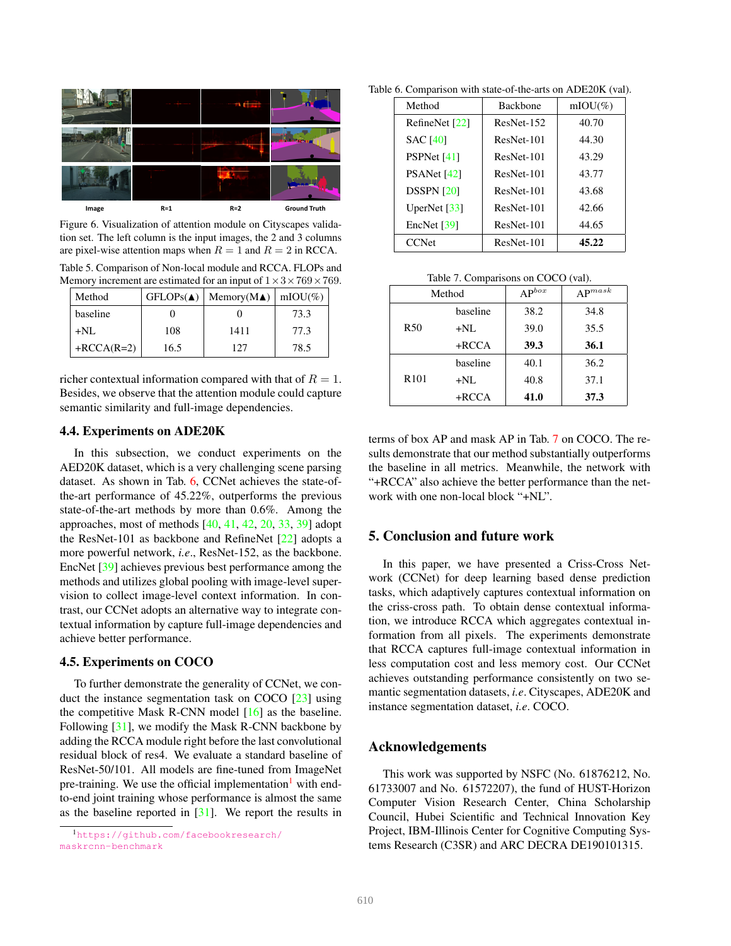

Figure 6. Visualization of attention module on Cityscapes validation set. The left column is the input images, the 2 and 3 columns are pixel-wise attention maps when  $R = 1$  and  $R = 2$  in RCCA. Table 5. Comparison of Non-local module and RCCA. FLOPs and

Memory increment are estimated for an input of  $1 \times 3 \times 769 \times 769$ .

| Method       | $GFLOPs(\triangle)$ | Memory(M $\blacktriangle$ )   mIOU(%) |      |
|--------------|---------------------|---------------------------------------|------|
| baseline     |                     |                                       | 73.3 |
| $+NI.$       | 108                 | 1411                                  | 77.3 |
| $+RCCA(R=2)$ | 16.5                | 127                                   | 78.5 |

richer contextual information compared with that of  $R = 1$ . Besides, we observe that the attention module could capture semantic similarity and full-image dependencies.

## 4.4. Experiments on ADE20K

In this subsection, we conduct experiments on the AED20K dataset, which is a very challenging scene parsing dataset. As shown in Tab. 6, CCNet achieves the state-ofthe-art performance of 45.22%, outperforms the previous state-of-the-art methods by more than 0.6%. Among the approaches, most of methods [40, 41, 42, 20, 33, 39] adopt the ResNet-101 as backbone and RefineNet [22] adopts a more powerful network, *i.e*., ResNet-152, as the backbone. EncNet [39] achieves previous best performance among the methods and utilizes global pooling with image-level supervision to collect image-level context information. In contrast, our CCNet adopts an alternative way to integrate contextual information by capture full-image dependencies and achieve better performance.

## 4.5. Experiments on COCO

To further demonstrate the generality of CCNet, we conduct the instance segmentation task on COCO [23] using the competitive Mask R-CNN model [16] as the baseline. Following [31], we modify the Mask R-CNN backbone by adding the RCCA module right before the last convolutional residual block of res4. We evaluate a standard baseline of ResNet-50/101. All models are fine-tuned from ImageNet pre-training. We use the official implementation<sup>1</sup> with endto-end joint training whose performance is almost the same as the baseline reported in  $[31]$ . We report the results in

Table 6. Comparison with state-of-the-arts on ADE20K (val).

| Method                    | <b>Backbone</b> | $mIOU(\%)$ |
|---------------------------|-----------------|------------|
| RefineNet [22]            | ResNet-152      | 40.70      |
| <b>SAC [40]</b>           | ResNet-101      | 44.30      |
| PSPNet [41]               | ResNet-101      | 43.29      |
| PSANet [42]               | ResNet-101      | 43.77      |
| <b>DSSPN [20]</b>         | ResNet-101      | 43.68      |
| UperNet $[33]$            | ResNet-101      | 42.66      |
| EncNet $\lceil 39 \rceil$ | ResNet-101      | 44.65      |
| <b>CCNet</b>              | ResNet-101      | 45.22      |

Table 7. Comparisons on COCO (val).

| Method           |          | $AP^{box}$ | ${\bf A}{\bf P}^{mask}$ |
|------------------|----------|------------|-------------------------|
| R <sub>50</sub>  | baseline | 38.2       | 34.8                    |
|                  | $+NL$    | 39.0       | 35.5                    |
|                  | $+RCCA$  | 39.3       | 36.1                    |
| R <sub>101</sub> | baseline | 40.1       | 36.2                    |
|                  | $+NL$    | 40.8       | 37.1                    |
|                  | $+RCCA$  | 41.0       | 37.3                    |

terms of box AP and mask AP in Tab. 7 on COCO. The results demonstrate that our method substantially outperforms the baseline in all metrics. Meanwhile, the network with "+RCCA" also achieve the better performance than the network with one non-local block "+NL".

## 5. Conclusion and future work

In this paper, we have presented a Criss-Cross Network (CCNet) for deep learning based dense prediction tasks, which adaptively captures contextual information on the criss-cross path. To obtain dense contextual information, we introduce RCCA which aggregates contextual information from all pixels. The experiments demonstrate that RCCA captures full-image contextual information in less computation cost and less memory cost. Our CCNet achieves outstanding performance consistently on two semantic segmentation datasets, *i.e*. Cityscapes, ADE20K and instance segmentation dataset, *i.e*. COCO.

## Acknowledgements

This work was supported by NSFC (No. 61876212, No. 61733007 and No. 61572207), the fund of HUST-Horizon Computer Vision Research Center, China Scholarship Council, Hubei Scientific and Technical Innovation Key Project, IBM-Illinois Center for Cognitive Computing Systems Research (C3SR) and ARC DECRA DE190101315.

<sup>1</sup>https://github.com/facebookresearch/ maskrcnn-benchmark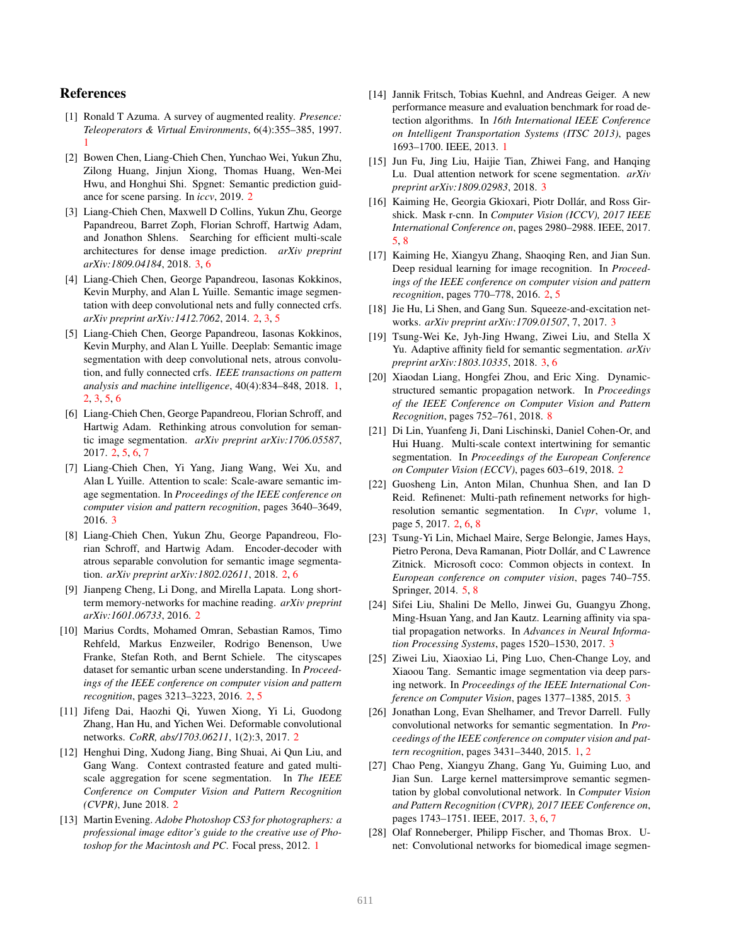## References

- [1] Ronald T Azuma. A survey of augmented reality. *Presence: Teleoperators & Virtual Environments*, 6(4):355–385, 1997. 1
- [2] Bowen Chen, Liang-Chieh Chen, Yunchao Wei, Yukun Zhu, Zilong Huang, Jinjun Xiong, Thomas Huang, Wen-Mei Hwu, and Honghui Shi. Spgnet: Semantic prediction guidance for scene parsing. In *iccv*, 2019. 2
- [3] Liang-Chieh Chen, Maxwell D Collins, Yukun Zhu, George Papandreou, Barret Zoph, Florian Schroff, Hartwig Adam, and Jonathon Shlens. Searching for efficient multi-scale architectures for dense image prediction. *arXiv preprint arXiv:1809.04184*, 2018. 3, 6
- [4] Liang-Chieh Chen, George Papandreou, Iasonas Kokkinos, Kevin Murphy, and Alan L Yuille. Semantic image segmentation with deep convolutional nets and fully connected crfs. *arXiv preprint arXiv:1412.7062*, 2014. 2, 3, 5
- [5] Liang-Chieh Chen, George Papandreou, Iasonas Kokkinos, Kevin Murphy, and Alan L Yuille. Deeplab: Semantic image segmentation with deep convolutional nets, atrous convolution, and fully connected crfs. *IEEE transactions on pattern analysis and machine intelligence*, 40(4):834–848, 2018. 1, 2, 3, 5, 6
- [6] Liang-Chieh Chen, George Papandreou, Florian Schroff, and Hartwig Adam. Rethinking atrous convolution for semantic image segmentation. *arXiv preprint arXiv:1706.05587*, 2017. 2, 5, 6, 7
- [7] Liang-Chieh Chen, Yi Yang, Jiang Wang, Wei Xu, and Alan L Yuille. Attention to scale: Scale-aware semantic image segmentation. In *Proceedings of the IEEE conference on computer vision and pattern recognition*, pages 3640–3649, 2016. 3
- [8] Liang-Chieh Chen, Yukun Zhu, George Papandreou, Florian Schroff, and Hartwig Adam. Encoder-decoder with atrous separable convolution for semantic image segmentation. *arXiv preprint arXiv:1802.02611*, 2018. 2, 6
- [9] Jianpeng Cheng, Li Dong, and Mirella Lapata. Long shortterm memory-networks for machine reading. *arXiv preprint arXiv:1601.06733*, 2016. 2
- [10] Marius Cordts, Mohamed Omran, Sebastian Ramos, Timo Rehfeld, Markus Enzweiler, Rodrigo Benenson, Uwe Franke, Stefan Roth, and Bernt Schiele. The cityscapes dataset for semantic urban scene understanding. In *Proceedings of the IEEE conference on computer vision and pattern recognition*, pages 3213–3223, 2016. 2, 5
- [11] Jifeng Dai, Haozhi Qi, Yuwen Xiong, Yi Li, Guodong Zhang, Han Hu, and Yichen Wei. Deformable convolutional networks. *CoRR, abs/1703.06211*, 1(2):3, 2017. 2
- [12] Henghui Ding, Xudong Jiang, Bing Shuai, Ai Qun Liu, and Gang Wang. Context contrasted feature and gated multiscale aggregation for scene segmentation. In *The IEEE Conference on Computer Vision and Pattern Recognition (CVPR)*, June 2018. 2
- [13] Martin Evening. *Adobe Photoshop CS3 for photographers: a professional image editor's guide to the creative use of Photoshop for the Macintosh and PC*. Focal press, 2012. 1
- [14] Jannik Fritsch, Tobias Kuehnl, and Andreas Geiger. A new performance measure and evaluation benchmark for road detection algorithms. In *16th International IEEE Conference on Intelligent Transportation Systems (ITSC 2013)*, pages 1693–1700. IEEE, 2013. 1
- [15] Jun Fu, Jing Liu, Haijie Tian, Zhiwei Fang, and Hanqing Lu. Dual attention network for scene segmentation. *arXiv preprint arXiv:1809.02983*, 2018. 3
- [16] Kaiming He, Georgia Gkioxari, Piotr Dollár, and Ross Girshick. Mask r-cnn. In *Computer Vision (ICCV), 2017 IEEE International Conference on*, pages 2980–2988. IEEE, 2017. 5, 8
- [17] Kaiming He, Xiangyu Zhang, Shaoqing Ren, and Jian Sun. Deep residual learning for image recognition. In *Proceedings of the IEEE conference on computer vision and pattern recognition*, pages 770–778, 2016. 2, 5
- [18] Jie Hu, Li Shen, and Gang Sun. Squeeze-and-excitation networks. *arXiv preprint arXiv:1709.01507*, 7, 2017. 3
- [19] Tsung-Wei Ke, Jyh-Jing Hwang, Ziwei Liu, and Stella X Yu. Adaptive affinity field for semantic segmentation. *arXiv preprint arXiv:1803.10335*, 2018. 3, 6
- [20] Xiaodan Liang, Hongfei Zhou, and Eric Xing. Dynamicstructured semantic propagation network. In *Proceedings of the IEEE Conference on Computer Vision and Pattern Recognition*, pages 752–761, 2018. 8
- [21] Di Lin, Yuanfeng Ji, Dani Lischinski, Daniel Cohen-Or, and Hui Huang. Multi-scale context intertwining for semantic segmentation. In *Proceedings of the European Conference on Computer Vision (ECCV)*, pages 603–619, 2018. 2
- [22] Guosheng Lin, Anton Milan, Chunhua Shen, and Ian D Reid. Refinenet: Multi-path refinement networks for highresolution semantic segmentation. In *Cvpr*, volume 1, page 5, 2017. 2, 6, 8
- [23] Tsung-Yi Lin, Michael Maire, Serge Belongie, James Hays, Pietro Perona, Deva Ramanan, Piotr Dollár, and C Lawrence Zitnick. Microsoft coco: Common objects in context. In *European conference on computer vision*, pages 740–755. Springer, 2014. 5, 8
- [24] Sifei Liu, Shalini De Mello, Jinwei Gu, Guangyu Zhong, Ming-Hsuan Yang, and Jan Kautz. Learning affinity via spatial propagation networks. In *Advances in Neural Information Processing Systems*, pages 1520–1530, 2017. 3
- [25] Ziwei Liu, Xiaoxiao Li, Ping Luo, Chen-Change Loy, and Xiaoou Tang. Semantic image segmentation via deep parsing network. In *Proceedings of the IEEE International Conference on Computer Vision*, pages 1377–1385, 2015. 3
- [26] Jonathan Long, Evan Shelhamer, and Trevor Darrell. Fully convolutional networks for semantic segmentation. In *Proceedings of the IEEE conference on computer vision and pattern recognition*, pages 3431–3440, 2015. 1, 2
- [27] Chao Peng, Xiangyu Zhang, Gang Yu, Guiming Luo, and Jian Sun. Large kernel mattersimprove semantic segmentation by global convolutional network. In *Computer Vision and Pattern Recognition (CVPR), 2017 IEEE Conference on*, pages 1743–1751. IEEE, 2017. 3, 6, 7
- [28] Olaf Ronneberger, Philipp Fischer, and Thomas Brox. Unet: Convolutional networks for biomedical image segmen-